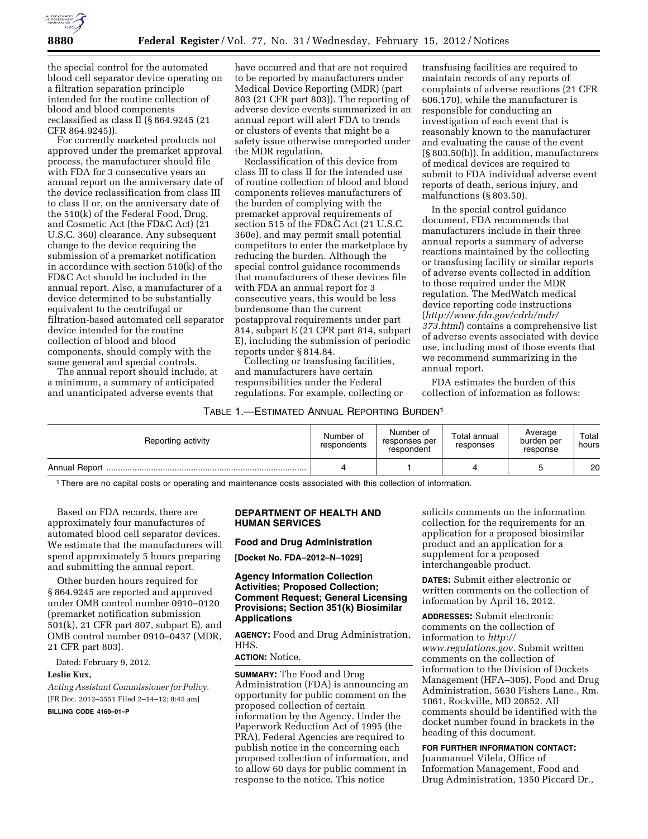

the special control for the automated blood cell separator device operating on a filtration separation principle intended for the routine collection of blood and blood components reclassified as class II (§ 864.9245 (21 CFR 864.9245)).

For currently marketed products not approved under the premarket approval process, the manufacturer should file with FDA for 3 consecutive years an annual report on the anniversary date of the device reclassification from class III to class II or, on the anniversary date of the 510(k) of the Federal Food, Drug, and Cosmetic Act (the FD&C Act) (21 U.S.C. 360) clearance. Any subsequent change to the device requiring the submission of a premarket notification in accordance with section 510(k) of the FD&C Act should be included in the annual report. Also, a manufacturer of a device determined to be substantially equivalent to the centrifugal or filtration-based automated cell separator device intended for the routine collection of blood and blood components, should comply with the same general and special controls.

The annual report should include, at a minimum, a summary of anticipated and unanticipated adverse events that

have occurred and that are not required to be reported by manufacturers under Medical Device Reporting (MDR) (part 803 (21 CFR part 803)). The reporting of adverse device events summarized in an annual report will alert FDA to trends or clusters of events that might be a safety issue otherwise unreported under the MDR regulation.

Reclassification of this device from class III to class II for the intended use of routine collection of blood and blood components relieves manufacturers of the burden of complying with the premarket approval requirements of section 515 of the FD&C Act (21 U.S.C. 360e), and may permit small potential competitors to enter the marketplace by reducing the burden. Although the special control guidance recommends that manufacturers of these devices file with FDA an annual report for 3 consecutive years, this would be less burdensome than the current postapproval requirements under part 814, subpart E (21 CFR part 814, subpart E), including the submission of periodic reports under § 814.84.

Collecting or transfusing facilities, and manufacturers have certain responsibilities under the Federal regulations. For example, collecting or

# transfusing facilities are required to maintain records of any reports of complaints of adverse reactions (21 CFR 606.170), while the manufacturer is responsible for conducting an investigation of each event that is reasonably known to the manufacturer and evaluating the cause of the event (§ 803.50(b)). In addition, manufacturers of medical devices are required to submit to FDA individual adverse event reports of death, serious injury, and malfunctions (§ 803.50).

In the special control guidance document, FDA recommends that manufacturers include in their three annual reports a summary of adverse reactions maintained by the collecting or transfusing facility or similar reports of adverse events collected in addition to those required under the MDR regulation. The MedWatch medical device reporting code instructions (*[http://www.fda.gov/cdrh/mdr/](http://www.fda.gov/cdrh/mdr/373.html) [373.html](http://www.fda.gov/cdrh/mdr/373.html)*) contains a comprehensive list of adverse events associated with device use, including most of those events that we recommend summarizing in the annual report.

FDA estimates the burden of this collection of information as follows:

## TABLE 1.—ESTIMATED ANNUAL REPORTING BURDEN1

| Reporting activity   | Number of<br>respondents | Number of<br>responses per<br>respondent | Total annual<br>responses | Average<br>burden per<br>response | Total<br>hours |
|----------------------|--------------------------|------------------------------------------|---------------------------|-----------------------------------|----------------|
| <b>Annual Report</b> |                          |                                          |                           |                                   | 20             |

1There are no capital costs or operating and maintenance costs associated with this collection of information.

Based on FDA records, there are approximately four manufactures of automated blood cell separator devices. We estimate that the manufacturers will spend approximately 5 hours preparing and submitting the annual report.

Other burden hours required for § 864.9245 are reported and approved under OMB control number 0910–0120 (premarket notification submission 501(k), 21 CFR part 807, subpart E), and OMB control number 0910–0437 (MDR, 21 CFR part 803).

Dated: February 9, 2012.

## **Leslie Kux,**

*Acting Assistant Commissioner for Policy.*  [FR Doc. 2012–3551 Filed 2–14–12; 8:45 am]

**BILLING CODE 4160–01–P** 

## **DEPARTMENT OF HEALTH AND HUMAN SERVICES**

### **Food and Drug Administration**

**[Docket No. FDA–2012–N–1029]** 

## **Agency Information Collection Activities; Proposed Collection; Comment Request; General Licensing Provisions; Section 351(k) Biosimilar Applications**

**AGENCY:** Food and Drug Administration, HHS.

### **ACTION:** Notice.

**SUMMARY:** The Food and Drug Administration (FDA) is announcing an opportunity for public comment on the proposed collection of certain information by the Agency. Under the Paperwork Reduction Act of 1995 (the PRA), Federal Agencies are required to publish notice in the concerning each proposed collection of information, and to allow 60 days for public comment in response to the notice. This notice

solicits comments on the information collection for the requirements for an application for a proposed biosimilar product and an application for a supplement for a proposed interchangeable product.

**DATES:** Submit either electronic or written comments on the collection of information by April 16, 2012.

**ADDRESSES:** Submit electronic comments on the collection of information to *[http://](http://www.regulations.gov) [www.regulations.gov](http://www.regulations.gov)*. Submit written comments on the collection of information to the Division of Dockets Management (HFA–305), Food and Drug Administration, 5630 Fishers Lane., Rm. 1061, Rockville, MD 20852. All comments should be identified with the docket number found in brackets in the heading of this document.

# **FOR FURTHER INFORMATION CONTACT:**

Juanmanuel Vilela, Office of Information Management, Food and Drug Administration, 1350 Piccard Dr.,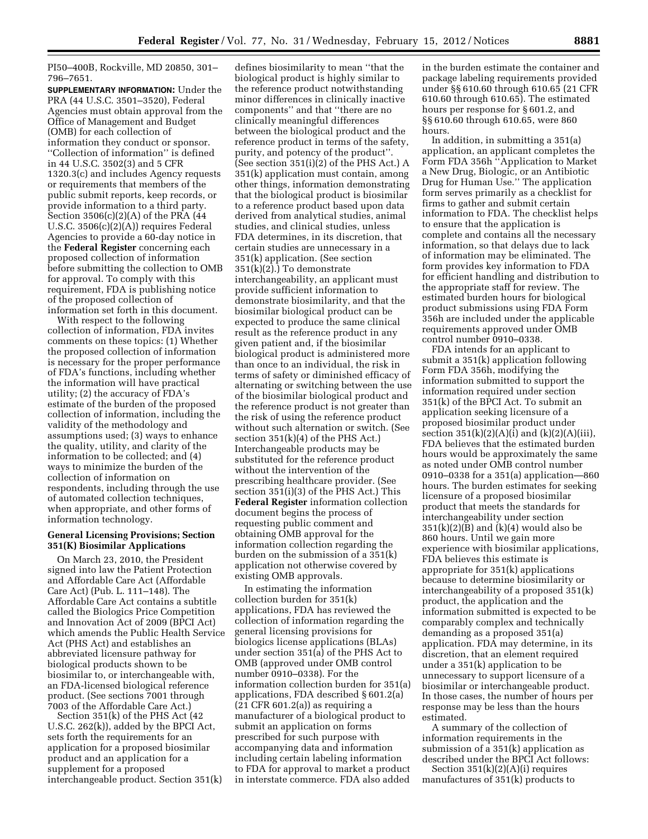PI50–400B, Rockville, MD 20850, 301– 796–7651.

**SUPPLEMENTARY INFORMATION:** Under the PRA (44 U.S.C. 3501–3520), Federal Agencies must obtain approval from the Office of Management and Budget (OMB) for each collection of information they conduct or sponsor. ''Collection of information'' is defined in 44 U.S.C. 3502(3) and 5 CFR 1320.3(c) and includes Agency requests or requirements that members of the public submit reports, keep records, or provide information to a third party. Section 3506(c)(2)(A) of the PRA (44 U.S.C. 3506(c)(2)(A)) requires Federal Agencies to provide a 60-day notice in the **Federal Register** concerning each proposed collection of information before submitting the collection to OMB for approval. To comply with this requirement, FDA is publishing notice of the proposed collection of information set forth in this document.

With respect to the following collection of information, FDA invites comments on these topics: (1) Whether the proposed collection of information is necessary for the proper performance of FDA's functions, including whether the information will have practical utility; (2) the accuracy of FDA's estimate of the burden of the proposed collection of information, including the validity of the methodology and assumptions used; (3) ways to enhance the quality, utility, and clarity of the information to be collected; and (4) ways to minimize the burden of the collection of information on respondents, including through the use of automated collection techniques, when appropriate, and other forms of information technology.

# **General Licensing Provisions; Section 351(K) Biosimilar Applications**

On March 23, 2010, the President signed into law the Patient Protection and Affordable Care Act (Affordable Care Act) (Pub. L. 111–148). The Affordable Care Act contains a subtitle called the Biologics Price Competition and Innovation Act of 2009 (BPCI Act) which amends the Public Health Service Act (PHS Act) and establishes an abbreviated licensure pathway for biological products shown to be biosimilar to, or interchangeable with, an FDA-licensed biological reference product. (See sections 7001 through 7003 of the Affordable Care Act.)

Section 351(k) of the PHS Act (42 U.S.C. 262(k)), added by the BPCI Act, sets forth the requirements for an application for a proposed biosimilar product and an application for a supplement for a proposed interchangeable product. Section 351(k)

defines biosimilarity to mean ''that the biological product is highly similar to the reference product notwithstanding minor differences in clinically inactive components'' and that ''there are no clinically meaningful differences between the biological product and the reference product in terms of the safety, purity, and potency of the product''. (See section 351(i)(2) of the PHS Act.) A 351(k) application must contain, among other things, information demonstrating that the biological product is biosimilar to a reference product based upon data derived from analytical studies, animal studies, and clinical studies, unless FDA determines, in its discretion, that certain studies are unnecessary in a 351(k) application. (See section 351(k)(2).) To demonstrate interchangeability, an applicant must provide sufficient information to demonstrate biosimilarity, and that the biosimilar biological product can be expected to produce the same clinical result as the reference product in any given patient and, if the biosimilar biological product is administered more than once to an individual, the risk in terms of safety or diminished efficacy of alternating or switching between the use of the biosimilar biological product and the reference product is not greater than the risk of using the reference product without such alternation or switch. (See section 351(k)(4) of the PHS Act.) Interchangeable products may be substituted for the reference product without the intervention of the prescribing healthcare provider. (See section 351(i)(3) of the PHS Act.) This **Federal Register** information collection document begins the process of requesting public comment and obtaining OMB approval for the information collection regarding the burden on the submission of a 351(k) application not otherwise covered by existing OMB approvals.

In estimating the information collection burden for 351(k) applications, FDA has reviewed the collection of information regarding the general licensing provisions for biologics license applications (BLAs) under section 351(a) of the PHS Act to OMB (approved under OMB control number 0910–0338). For the information collection burden for 351(a) applications, FDA described § 601.2(a) (21 CFR 601.2(a)) as requiring a manufacturer of a biological product to submit an application on forms prescribed for such purpose with accompanying data and information including certain labeling information to FDA for approval to market a product in interstate commerce. FDA also added

in the burden estimate the container and package labeling requirements provided under §§ 610.60 through 610.65 (21 CFR 610.60 through 610.65). The estimated hours per response for § 601.2, and §§ 610.60 through 610.65, were 860 hours.

In addition, in submitting a 351(a) application, an applicant completes the Form FDA 356h ''Application to Market a New Drug, Biologic, or an Antibiotic Drug for Human Use.'' The application form serves primarily as a checklist for firms to gather and submit certain information to FDA. The checklist helps to ensure that the application is complete and contains all the necessary information, so that delays due to lack of information may be eliminated. The form provides key information to FDA for efficient handling and distribution to the appropriate staff for review. The estimated burden hours for biological product submissions using FDA Form 356h are included under the applicable requirements approved under OMB control number 0910–0338.

FDA intends for an applicant to submit a 351(k) application following Form FDA 356h, modifying the information submitted to support the information required under section 351(k) of the BPCI Act. To submit an application seeking licensure of a proposed biosimilar product under section  $351(k)(2)(A)(i)$  and  $(k)(2)(A)(iii)$ , FDA believes that the estimated burden hours would be approximately the same as noted under OMB control number 0910–0338 for a 351(a) application—860 hours. The burden estimates for seeking licensure of a proposed biosimilar product that meets the standards for interchangeability under section  $351(k)(2)(B)$  and  $(k)(4)$  would also be 860 hours. Until we gain more experience with biosimilar applications, FDA believes this estimate is appropriate for 351(k) applications because to determine biosimilarity or interchangeability of a proposed 351(k) product, the application and the information submitted is expected to be comparably complex and technically demanding as a proposed 351(a) application. FDA may determine, in its discretion, that an element required under a 351(k) application to be unnecessary to support licensure of a biosimilar or interchangeable product. In those cases, the number of hours per response may be less than the hours estimated.

A summary of the collection of information requirements in the submission of a 351(k) application as described under the BPCI Act follows:

Section  $351(k)(2)(A)(i)$  requires manufactures of 351(k) products to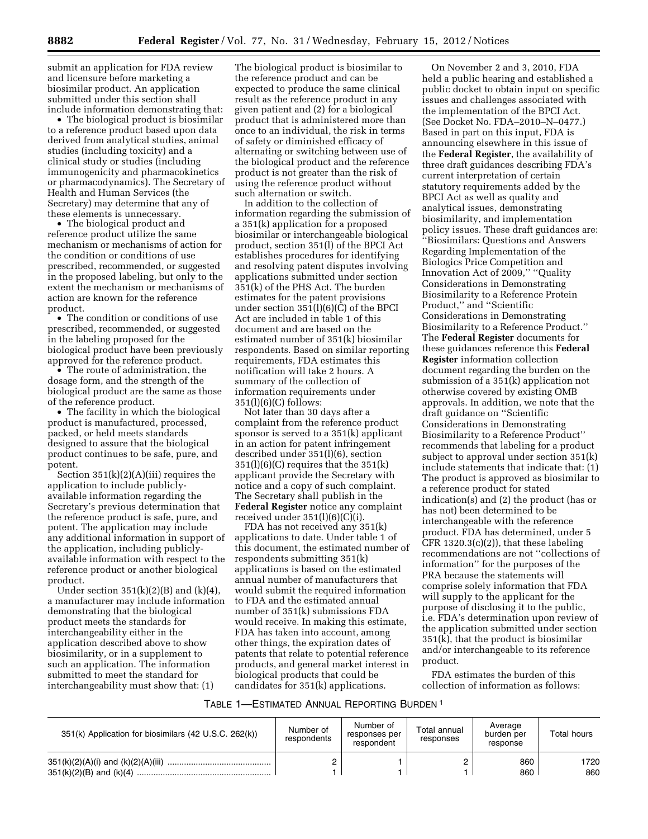submit an application for FDA review and licensure before marketing a biosimilar product. An application submitted under this section shall include information demonstrating that:

• The biological product is biosimilar to a reference product based upon data derived from analytical studies, animal studies (including toxicity) and a clinical study or studies (including immunogenicity and pharmacokinetics or pharmacodynamics). The Secretary of Health and Human Services (the Secretary) may determine that any of these elements is unnecessary.

• The biological product and reference product utilize the same mechanism or mechanisms of action for the condition or conditions of use prescribed, recommended, or suggested in the proposed labeling, but only to the extent the mechanism or mechanisms of action are known for the reference product.

• The condition or conditions of use prescribed, recommended, or suggested in the labeling proposed for the biological product have been previously approved for the reference product.

• The route of administration, the dosage form, and the strength of the biological product are the same as those of the reference product.

• The facility in which the biological product is manufactured, processed, packed, or held meets standards designed to assure that the biological product continues to be safe, pure, and potent.

Section  $351(k)(2)(A)(iii)$  requires the application to include publiclyavailable information regarding the Secretary's previous determination that the reference product is safe, pure, and potent. The application may include any additional information in support of the application, including publiclyavailable information with respect to the reference product or another biological product.

Under section  $351(k)(2)(B)$  and  $(k)(4)$ , a manufacturer may include information demonstrating that the biological product meets the standards for interchangeability either in the application described above to show biosimilarity, or in a supplement to such an application. The information submitted to meet the standard for interchangeability must show that: (1)

The biological product is biosimilar to the reference product and can be expected to produce the same clinical result as the reference product in any given patient and (2) for a biological product that is administered more than once to an individual, the risk in terms of safety or diminished efficacy of alternating or switching between use of the biological product and the reference product is not greater than the risk of using the reference product without such alternation or switch.

In addition to the collection of information regarding the submission of a 351(k) application for a proposed biosimilar or interchangeable biological product, section 351(l) of the BPCI Act establishes procedures for identifying and resolving patent disputes involving applications submitted under section 351(k) of the PHS Act. The burden estimates for the patent provisions under section  $351(1)(6)(\overline{C})$  of the BPCI Act are included in table 1 of this document and are based on the estimated number of 351(k) biosimilar respondents. Based on similar reporting requirements, FDA estimates this notification will take 2 hours. A summary of the collection of information requirements under  $351(l)(6)(C)$  follows:

Not later than 30 days after a complaint from the reference product sponsor is served to a 351(k) applicant in an action for patent infringement described under 351(l)(6), section  $351(l)(6)(C)$  requires that the  $351(k)$ applicant provide the Secretary with notice and a copy of such complaint. The Secretary shall publish in the **Federal Register** notice any complaint received under 351(l)(6)(C)(i).

FDA has not received any 351(k) applications to date. Under table 1 of this document, the estimated number of respondents submitting 351(k) applications is based on the estimated annual number of manufacturers that would submit the required information to FDA and the estimated annual number of 351(k) submissions FDA would receive. In making this estimate, FDA has taken into account, among other things, the expiration dates of patents that relate to potential reference products, and general market interest in biological products that could be candidates for 351(k) applications.

On November 2 and 3, 2010, FDA held a public hearing and established a public docket to obtain input on specific issues and challenges associated with the implementation of the BPCI Act. (See Docket No. FDA–2010–N–0477.) Based in part on this input, FDA is announcing elsewhere in this issue of the **Federal Register**, the availability of three draft guidances describing FDA's current interpretation of certain statutory requirements added by the BPCI Act as well as quality and analytical issues, demonstrating biosimilarity, and implementation policy issues. These draft guidances are: ''Biosimilars: Questions and Answers Regarding Implementation of the Biologics Price Competition and Innovation Act of 2009,'' ''Quality Considerations in Demonstrating Biosimilarity to a Reference Protein Product,'' and ''Scientific Considerations in Demonstrating Biosimilarity to a Reference Product.'' The **Federal Register** documents for these guidances reference this **Federal Register** information collection document regarding the burden on the submission of a 351(k) application not otherwise covered by existing OMB approvals. In addition, we note that the draft guidance on ''Scientific Considerations in Demonstrating Biosimilarity to a Reference Product'' recommends that labeling for a product subject to approval under section 351(k) include statements that indicate that: (1) The product is approved as biosimilar to a reference product for stated indication(s) and (2) the product (has or has not) been determined to be interchangeable with the reference product. FDA has determined, under 5  $CFR 1320.3(c)(2)$ , that these labeling recommendations are not ''collections of information'' for the purposes of the PRA because the statements will comprise solely information that FDA will supply to the applicant for the purpose of disclosing it to the public, i.e. FDA's determination upon review of the application submitted under section 351(k), that the product is biosimilar and/or interchangeable to its reference product.

FDA estimates the burden of this collection of information as follows:

### TABLE 1—ESTIMATED ANNUAL REPORTING BURDEN 1

| 351(k) Application for biosimilars (42 U.S.C. 262(k)) | Number of<br>respondents | Number of<br>responses per<br>respondent | Total annual<br>responses | Average<br>burden per<br>response | Total hours |
|-------------------------------------------------------|--------------------------|------------------------------------------|---------------------------|-----------------------------------|-------------|
|                                                       |                          |                                          |                           | 860<br>860                        | 1720<br>860 |